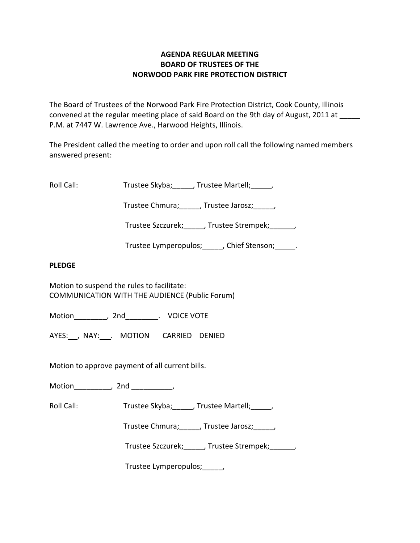# **AGENDA REGULAR MEETING BOARD OF TRUSTEES OF THE NORWOOD PARK FIRE PROTECTION DISTRICT**

The Board of Trustees of the Norwood Park Fire Protection District, Cook County, Illinois convened at the regular meeting place of said Board on the 9th day of August, 2011 at P.M. at 7447 W. Lawrence Ave., Harwood Heights, Illinois.

The President called the meeting to order and upon roll call the following named members answered present:

Roll Call: Trustee Skyba; J. Trustee Martell; Trustee Martell;

Trustee Chmura; frustee Jarosz; frustee Ohmura; die Jarosz; die Jarosz; die Jarosz; die Jarosz; die J

Trustee Szczurek; frustee Strempek; frustee Strempek;

Trustee Lymperopulos; fight point of Stenson; the Chief Stenson;

## **PLEDGE**

Motion to suspend the rules to facilitate: COMMUNICATION WITH THE AUDIENCE (Public Forum)

Motion \_\_\_\_\_\_\_\_, 2nd \_\_\_\_\_\_\_\_. VOICE VOTE

AYES: NAY: MOTION CARRIED DENIED

Motion to approve payment of all current bills.

Motion\_\_\_\_\_\_\_\_\_, 2nd \_\_\_\_\_\_\_\_\_\_,

Roll Call: Trustee Skyba; J. Trustee Martell; Trustee Martell;

Trustee Chmura;\_\_\_\_\_, Trustee Jarosz;\_\_\_\_\_,

Trustee Szczurek; frustee Strempek; frustee Strempek;

Trustee Lymperopulos; fig.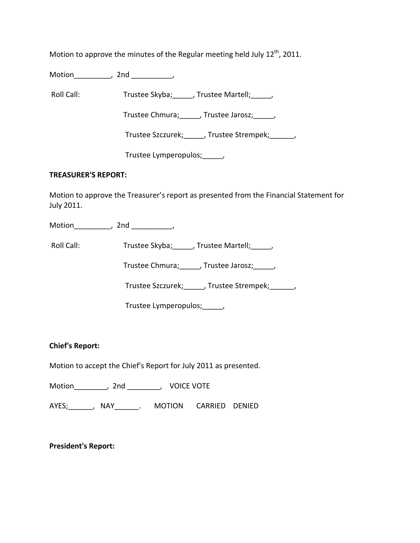Motion to approve the minutes of the Regular meeting held July  $12^{th}$ , 2011.

Motion\_\_\_\_\_\_\_\_\_, 2nd \_\_\_\_\_\_\_\_\_\_,

Roll Call: Trustee Skyba; J. Trustee Martell; Trustee Martell;

Trustee Chmura; frustee Jarosz; frustee Jarosz;

Trustee Szczurek; J. Trustee Strempek; J.

Trustee Lymperopulos; fig.

### **TREASURER'S REPORT:**

Motion to approve the Treasurer's report as presented from the Financial Statement for July 2011.

Motion the set of the set of the set of the set of the set of the set of the set of the set of the set of the s

Roll Call: Trustee Skyba; J. Trustee Martell; Trustee Martell;

Trustee Chmura;\_\_\_\_\_, Trustee Jarosz;\_\_\_\_\_,

Trustee Szczurek;\_\_\_\_\_, Trustee Strempek;\_\_\_\_\_\_,

Trustee Lymperopulos;\_\_\_\_\_,

**Chief's Report:**

Motion to accept the Chief's Report for July 2011 as presented.

Motion\_\_\_\_\_\_\_\_, 2nd \_\_\_\_\_\_\_\_, VOICE VOTE

AYES; The AYES; ANAY The MOTION CARRIED DENIED

**President's Report:**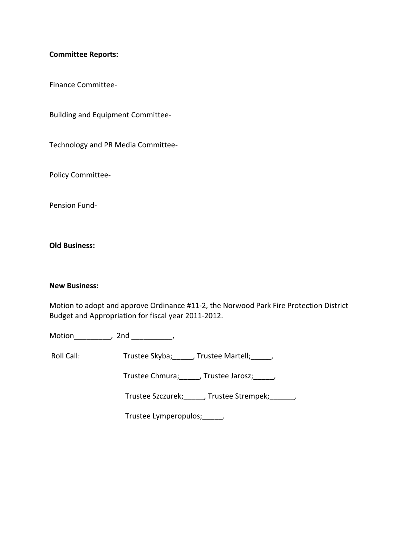### **Committee Reports:**

Finance Committee‐

Building and Equipment Committee‐

Technology and PR Media Committee‐

Policy Committee‐

Pension Fund‐

**Old Business:**

#### **New Business:**

Motion to adopt and approve Ordinance #11‐2, the Norwood Park Fire Protection District Budget and Appropriation for fiscal year 2011‐2012.

Motion\_\_\_\_\_\_\_\_\_, 2nd \_\_\_\_\_\_\_\_\_\_,

Roll Call: Trustee Skyba; \_\_\_\_, Trustee Martell; \_\_\_\_,

Trustee Chmura;\_\_\_\_\_, Trustee Jarosz;\_\_\_\_\_,

Trustee Szczurek; J. Trustee Strempek; J.

Trustee Lymperopulos;\_\_\_\_\_.